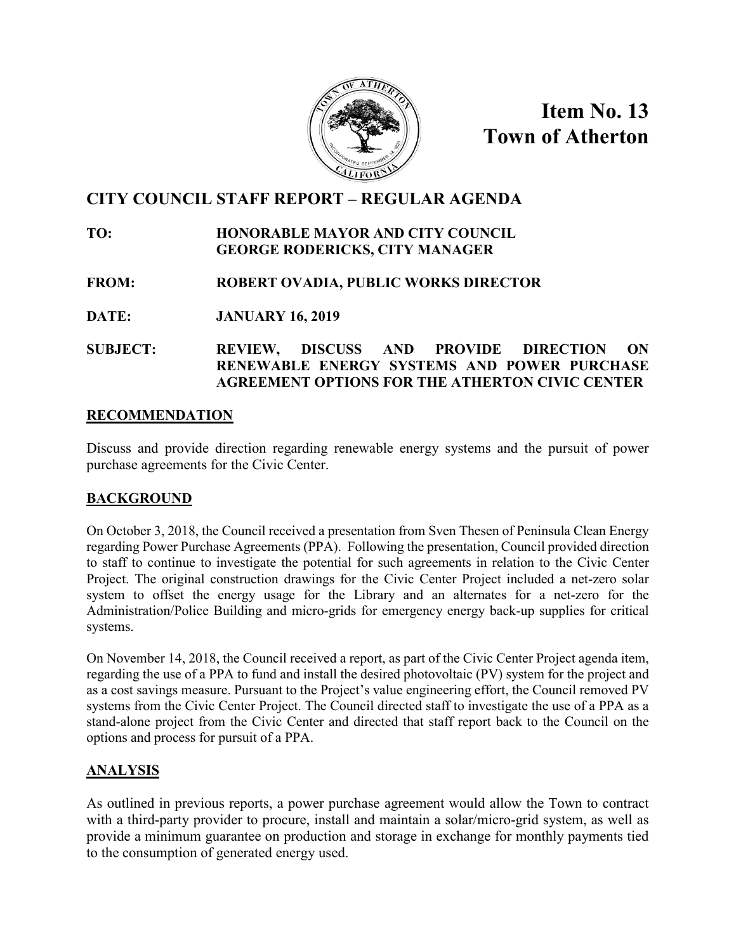

**Item No. 13 Town of Atherton**

# **CITY COUNCIL STAFF REPORT – REGULAR AGENDA**

## **TO: HONORABLE MAYOR AND CITY COUNCIL GEORGE RODERICKS, CITY MANAGER**

- **FROM: ROBERT OVADIA, PUBLIC WORKS DIRECTOR**
- **DATE: JANUARY 16, 2019**

#### **SUBJECT: REVIEW, DISCUSS AND PROVIDE DIRECTION ON RENEWABLE ENERGY SYSTEMS AND POWER PURCHASE AGREEMENT OPTIONS FOR THE ATHERTON CIVIC CENTER**

## **RECOMMENDATION**

Discuss and provide direction regarding renewable energy systems and the pursuit of power purchase agreements for the Civic Center.

# **BACKGROUND**

On October 3, 2018, the Council received a presentation from Sven Thesen of Peninsula Clean Energy regarding Power Purchase Agreements (PPA). Following the presentation, Council provided direction to staff to continue to investigate the potential for such agreements in relation to the Civic Center Project. The original construction drawings for the Civic Center Project included a net-zero solar system to offset the energy usage for the Library and an alternates for a net-zero for the Administration/Police Building and micro-grids for emergency energy back-up supplies for critical systems.

On November 14, 2018, the Council received a report, as part of the Civic Center Project agenda item, regarding the use of a PPA to fund and install the desired photovoltaic (PV) system for the project and as a cost savings measure. Pursuant to the Project's value engineering effort, the Council removed PV systems from the Civic Center Project. The Council directed staff to investigate the use of a PPA as a stand-alone project from the Civic Center and directed that staff report back to the Council on the options and process for pursuit of a PPA.

#### **ANALYSIS**

As outlined in previous reports, a power purchase agreement would allow the Town to contract with a third-party provider to procure, install and maintain a solar/micro-grid system, as well as provide a minimum guarantee on production and storage in exchange for monthly payments tied to the consumption of generated energy used.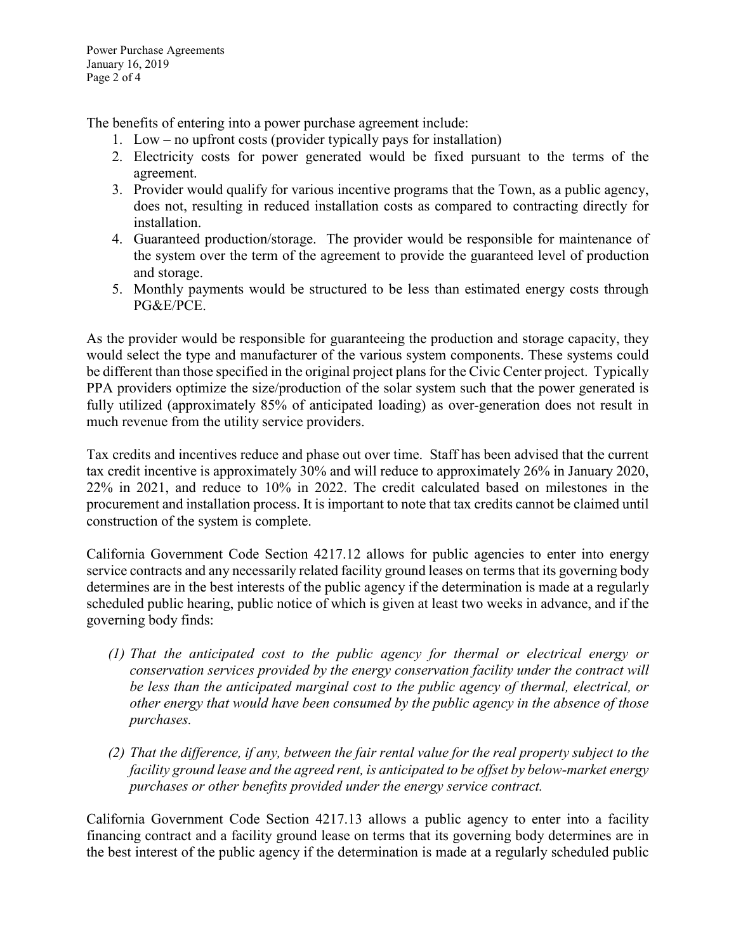The benefits of entering into a power purchase agreement include:

- 1. Low no upfront costs (provider typically pays for installation)
- 2. Electricity costs for power generated would be fixed pursuant to the terms of the agreement.
- 3. Provider would qualify for various incentive programs that the Town, as a public agency, does not, resulting in reduced installation costs as compared to contracting directly for installation.
- 4. Guaranteed production/storage. The provider would be responsible for maintenance of the system over the term of the agreement to provide the guaranteed level of production and storage.
- 5. Monthly payments would be structured to be less than estimated energy costs through PG&E/PCE.

As the provider would be responsible for guaranteeing the production and storage capacity, they would select the type and manufacturer of the various system components. These systems could be different than those specified in the original project plans for the Civic Center project. Typically PPA providers optimize the size/production of the solar system such that the power generated is fully utilized (approximately 85% of anticipated loading) as over-generation does not result in much revenue from the utility service providers.

Tax credits and incentives reduce and phase out over time. Staff has been advised that the current tax credit incentive is approximately 30% and will reduce to approximately 26% in January 2020, 22% in 2021, and reduce to 10% in 2022. The credit calculated based on milestones in the procurement and installation process. It is important to note that tax credits cannot be claimed until construction of the system is complete.

California Government Code Section 4217.12 allows for public agencies to enter into energy service contracts and any necessarily related facility ground leases on terms that its governing body determines are in the best interests of the public agency if the determination is made at a regularly scheduled public hearing, public notice of which is given at least two weeks in advance, and if the governing body finds:

- *(1) That the anticipated cost to the public agency for thermal or electrical energy or conservation services provided by the energy conservation facility under the contract will be less than the anticipated marginal cost to the public agency of thermal, electrical, or other energy that would have been consumed by the public agency in the absence of those purchases.*
- *(2) That the difference, if any, between the fair rental value for the real property subject to the facility ground lease and the agreed rent, is anticipated to be offset by below-market energy purchases or other benefits provided under the energy service contract.*

California Government Code Section 4217.13 allows a public agency to enter into a facility financing contract and a facility ground lease on terms that its governing body determines are in the best interest of the public agency if the determination is made at a regularly scheduled public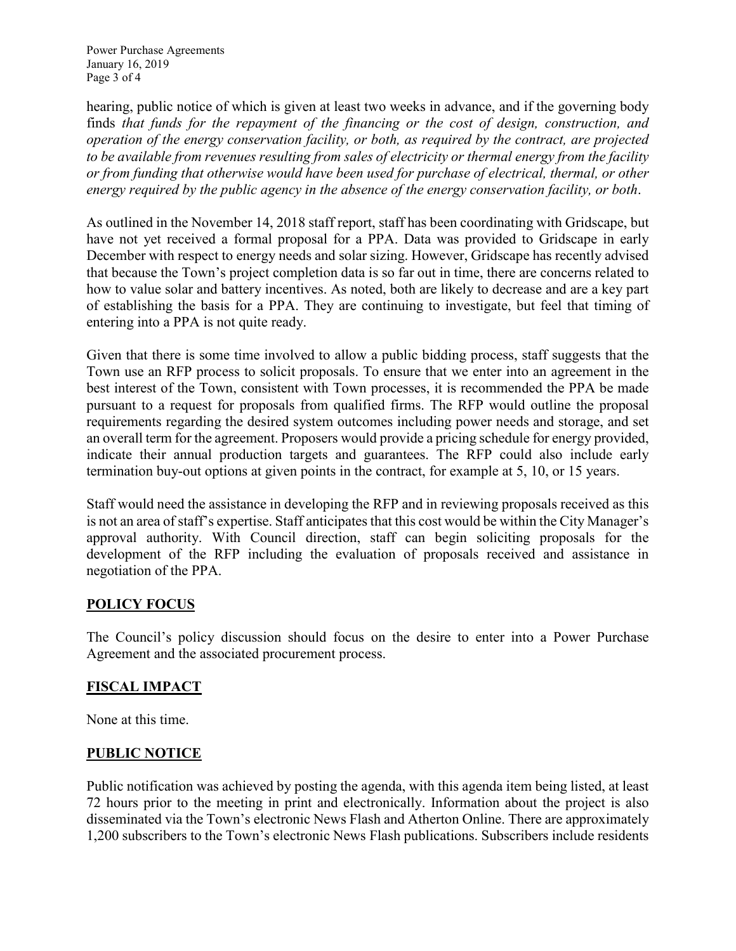Power Purchase Agreements January 16, 2019 Page 3 of 4

hearing, public notice of which is given at least two weeks in advance, and if the governing body finds *that funds for the repayment of the financing or the cost of design, construction, and operation of the energy conservation facility, or both, as required by the contract, are projected to be available from revenues resulting from sales of electricity or thermal energy from the facility or from funding that otherwise would have been used for purchase of electrical, thermal, or other energy required by the public agency in the absence of the energy conservation facility, or both*.

As outlined in the November 14, 2018 staff report, staff has been coordinating with Gridscape, but have not yet received a formal proposal for a PPA. Data was provided to Gridscape in early December with respect to energy needs and solar sizing. However, Gridscape has recently advised that because the Town's project completion data is so far out in time, there are concerns related to how to value solar and battery incentives. As noted, both are likely to decrease and are a key part of establishing the basis for a PPA. They are continuing to investigate, but feel that timing of entering into a PPA is not quite ready.

Given that there is some time involved to allow a public bidding process, staff suggests that the Town use an RFP process to solicit proposals. To ensure that we enter into an agreement in the best interest of the Town, consistent with Town processes, it is recommended the PPA be made pursuant to a request for proposals from qualified firms. The RFP would outline the proposal requirements regarding the desired system outcomes including power needs and storage, and set an overall term for the agreement. Proposers would provide a pricing schedule for energy provided, indicate their annual production targets and guarantees. The RFP could also include early termination buy-out options at given points in the contract, for example at 5, 10, or 15 years.

Staff would need the assistance in developing the RFP and in reviewing proposals received as this is not an area of staff's expertise. Staff anticipates that this cost would be within the City Manager's approval authority. With Council direction, staff can begin soliciting proposals for the development of the RFP including the evaluation of proposals received and assistance in negotiation of the PPA.

#### **POLICY FOCUS**

The Council's policy discussion should focus on the desire to enter into a Power Purchase Agreement and the associated procurement process.

#### **FISCAL IMPACT**

None at this time.

## **PUBLIC NOTICE**

Public notification was achieved by posting the agenda, with this agenda item being listed, at least 72 hours prior to the meeting in print and electronically. Information about the project is also disseminated via the Town's electronic News Flash and Atherton Online. There are approximately 1,200 subscribers to the Town's electronic News Flash publications. Subscribers include residents